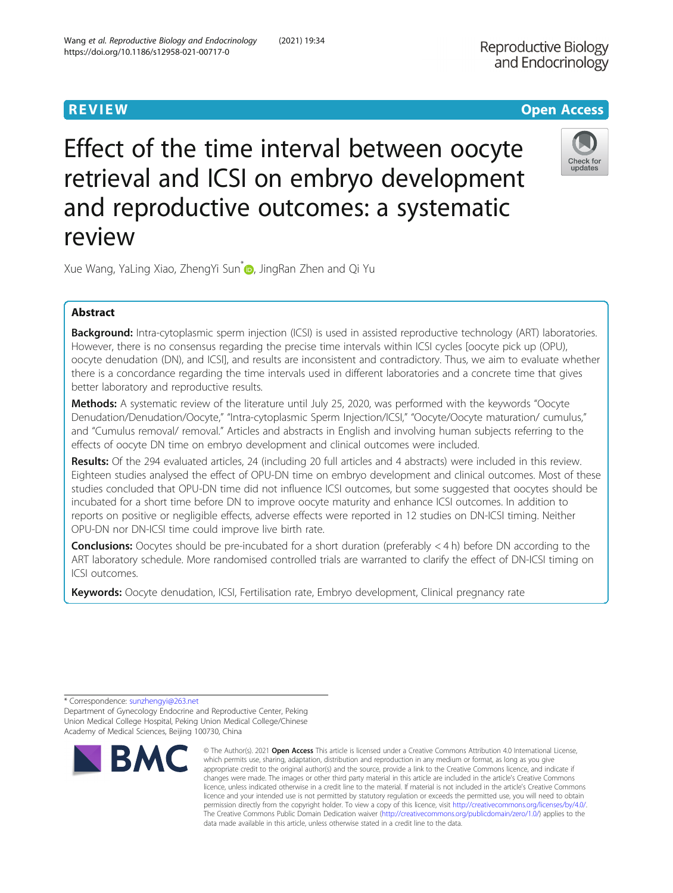# **REVIEW CONSTRUCTION CONSTRUCTION CONSTRUCTS**

# Effect of the time interval between oocyte retrieval and ICSI on embryo development and reproductive outcomes: a systematic review



Xue Wang[,](http://orcid.org/0000-0001-6363-9723) YaLing Xiao, ZhengYi Sun<sup>\*</sup> , JingRan Zhen and Qi Yu

# Abstract

Background: Intra-cytoplasmic sperm injection (ICSI) is used in assisted reproductive technology (ART) laboratories. However, there is no consensus regarding the precise time intervals within ICSI cycles [oocyte pick up (OPU), oocyte denudation (DN), and ICSI], and results are inconsistent and contradictory. Thus, we aim to evaluate whether there is a concordance regarding the time intervals used in different laboratories and a concrete time that gives better laboratory and reproductive results.

Methods: A systematic review of the literature until July 25, 2020, was performed with the keywords "Oocyte Denudation/Denudation/Oocyte," "Intra-cytoplasmic Sperm Injection/ICSI," "Oocyte/Oocyte maturation/ cumulus," and "Cumulus removal/ removal." Articles and abstracts in English and involving human subjects referring to the effects of oocyte DN time on embryo development and clinical outcomes were included.

Results: Of the 294 evaluated articles, 24 (including 20 full articles and 4 abstracts) were included in this review. Eighteen studies analysed the effect of OPU-DN time on embryo development and clinical outcomes. Most of these studies concluded that OPU-DN time did not influence ICSI outcomes, but some suggested that oocytes should be incubated for a short time before DN to improve oocyte maturity and enhance ICSI outcomes. In addition to reports on positive or negligible effects, adverse effects were reported in 12 studies on DN-ICSI timing. Neither OPU-DN nor DN-ICSI time could improve live birth rate.

**Conclusions:** Oocytes should be pre-incubated for a short duration (preferably  $\lt$  4 h) before DN according to the ART laboratory schedule. More randomised controlled trials are warranted to clarify the effect of DN-ICSI timing on ICSI outcomes.

**Keywords:** Oocyte denudation, ICSI, Fertilisation rate, Embryo development, Clinical pregnancy rate

<sup>\*</sup> Correspondence: [sunzhengyi@263.net](mailto:sunzhengyi@263.net) Department of Gynecology Endocrine and Reproductive Center, Peking Union Medical College Hospital, Peking Union Medical College/Chinese Academy of Medical Sciences, Beijing 100730, China



<sup>©</sup> The Author(s), 2021 **Open Access** This article is licensed under a Creative Commons Attribution 4.0 International License, which permits use, sharing, adaptation, distribution and reproduction in any medium or format, as long as you give appropriate credit to the original author(s) and the source, provide a link to the Creative Commons licence, and indicate if changes were made. The images or other third party material in this article are included in the article's Creative Commons licence, unless indicated otherwise in a credit line to the material. If material is not included in the article's Creative Commons licence and your intended use is not permitted by statutory regulation or exceeds the permitted use, you will need to obtain permission directly from the copyright holder. To view a copy of this licence, visit [http://creativecommons.org/licenses/by/4.0/.](http://creativecommons.org/licenses/by/4.0/) The Creative Commons Public Domain Dedication waiver [\(http://creativecommons.org/publicdomain/zero/1.0/](http://creativecommons.org/publicdomain/zero/1.0/)) applies to the data made available in this article, unless otherwise stated in a credit line to the data.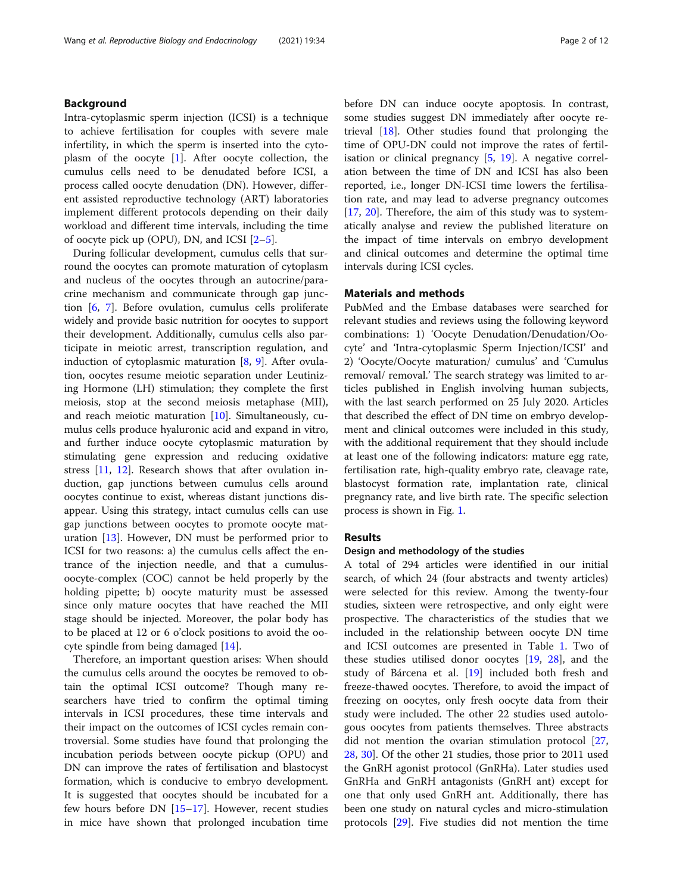#### Background

Intra-cytoplasmic sperm injection (ICSI) is a technique to achieve fertilisation for couples with severe male infertility, in which the sperm is inserted into the cytoplasm of the oocyte [[1\]](#page-10-0). After oocyte collection, the cumulus cells need to be denudated before ICSI, a process called oocyte denudation (DN). However, different assisted reproductive technology (ART) laboratories implement different protocols depending on their daily workload and different time intervals, including the time of oocyte pick up (OPU), DN, and ICSI [\[2](#page-10-0)–[5](#page-10-0)].

During follicular development, cumulus cells that surround the oocytes can promote maturation of cytoplasm and nucleus of the oocytes through an autocrine/paracrine mechanism and communicate through gap junction [\[6](#page-10-0), [7](#page-10-0)]. Before ovulation, cumulus cells proliferate widely and provide basic nutrition for oocytes to support their development. Additionally, cumulus cells also participate in meiotic arrest, transcription regulation, and induction of cytoplasmic maturation [[8](#page-10-0), [9](#page-10-0)]. After ovulation, oocytes resume meiotic separation under Leutinizing Hormone (LH) stimulation; they complete the first meiosis, stop at the second meiosis metaphase (MII), and reach meiotic maturation  $[10]$  $[10]$ . Simultaneously, cumulus cells produce hyaluronic acid and expand in vitro, and further induce oocyte cytoplasmic maturation by stimulating gene expression and reducing oxidative stress [[11,](#page-10-0) [12](#page-10-0)]. Research shows that after ovulation induction, gap junctions between cumulus cells around oocytes continue to exist, whereas distant junctions disappear. Using this strategy, intact cumulus cells can use gap junctions between oocytes to promote oocyte maturation [\[13](#page-10-0)]. However, DN must be performed prior to ICSI for two reasons: a) the cumulus cells affect the entrance of the injection needle, and that a cumulusoocyte-complex (COC) cannot be held properly by the holding pipette; b) oocyte maturity must be assessed since only mature oocytes that have reached the MII stage should be injected. Moreover, the polar body has to be placed at 12 or 6 o'clock positions to avoid the oocyte spindle from being damaged [[14](#page-10-0)].

Therefore, an important question arises: When should the cumulus cells around the oocytes be removed to obtain the optimal ICSI outcome? Though many researchers have tried to confirm the optimal timing intervals in ICSI procedures, these time intervals and their impact on the outcomes of ICSI cycles remain controversial. Some studies have found that prolonging the incubation periods between oocyte pickup (OPU) and DN can improve the rates of fertilisation and blastocyst formation, which is conducive to embryo development. It is suggested that oocytes should be incubated for a few hours before DN  $[15–17]$  $[15–17]$  $[15–17]$  $[15–17]$ . However, recent studies in mice have shown that prolonged incubation time before DN can induce oocyte apoptosis. In contrast, some studies suggest DN immediately after oocyte retrieval [[18\]](#page-10-0). Other studies found that prolonging the time of OPU-DN could not improve the rates of fertilisation or clinical pregnancy [\[5](#page-10-0), [19\]](#page-10-0). A negative correlation between the time of DN and ICSI has also been reported, i.e., longer DN-ICSI time lowers the fertilisation rate, and may lead to adverse pregnancy outcomes [[17,](#page-10-0) [20](#page-10-0)]. Therefore, the aim of this study was to systematically analyse and review the published literature on

the impact of time intervals on embryo development and clinical outcomes and determine the optimal time

#### Materials and methods

intervals during ICSI cycles.

PubMed and the Embase databases were searched for relevant studies and reviews using the following keyword combinations: 1) 'Oocyte Denudation/Denudation/Oocyte' and 'Intra-cytoplasmic Sperm Injection/ICSI' and 2) 'Oocyte/Oocyte maturation/ cumulus' and 'Cumulus removal/ removal.' The search strategy was limited to articles published in English involving human subjects, with the last search performed on 25 July 2020. Articles that described the effect of DN time on embryo development and clinical outcomes were included in this study, with the additional requirement that they should include at least one of the following indicators: mature egg rate, fertilisation rate, high-quality embryo rate, cleavage rate, blastocyst formation rate, implantation rate, clinical pregnancy rate, and live birth rate. The specific selection process is shown in Fig. [1](#page-2-0).

#### Results

#### Design and methodology of the studies

A total of 294 articles were identified in our initial search, of which 24 (four abstracts and twenty articles) were selected for this review. Among the twenty-four studies, sixteen were retrospective, and only eight were prospective. The characteristics of the studies that we included in the relationship between oocyte DN time and ICSI outcomes are presented in Table [1](#page-3-0). Two of these studies utilised donor oocytes [[19,](#page-10-0) [28\]](#page-11-0), and the study of Bárcena et al. [[19](#page-10-0)] included both fresh and freeze-thawed oocytes. Therefore, to avoid the impact of freezing on oocytes, only fresh oocyte data from their study were included. The other 22 studies used autologous oocytes from patients themselves. Three abstracts did not mention the ovarian stimulation protocol [[27](#page-11-0), [28,](#page-11-0) [30](#page-11-0)]. Of the other 21 studies, those prior to 2011 used the GnRH agonist protocol (GnRHa). Later studies used GnRHa and GnRH antagonists (GnRH ant) except for one that only used GnRH ant. Additionally, there has been one study on natural cycles and micro-stimulation protocols [\[29\]](#page-11-0). Five studies did not mention the time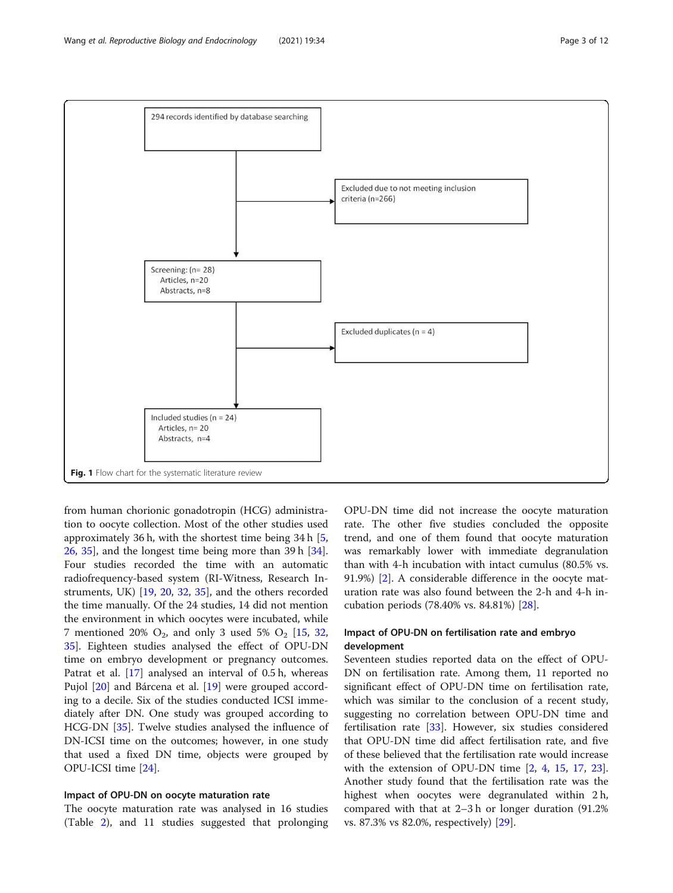<span id="page-2-0"></span>

from human chorionic gonadotropin (HCG) administration to oocyte collection. Most of the other studies used approximately 36 h, with the shortest time being 34 h [\[5](#page-10-0), [26,](#page-11-0) [35\]](#page-11-0), and the longest time being more than 39 h [\[34](#page-11-0)]. Four studies recorded the time with an automatic radiofrequency-based system (RI-Witness, Research Instruments, UK) [\[19](#page-10-0), [20,](#page-10-0) [32,](#page-11-0) [35](#page-11-0)], and the others recorded the time manually. Of the 24 studies, 14 did not mention the environment in which oocytes were incubated, while 7 mentioned 20%  $O_2$ , and only 3 used 5%  $O_2$  [\[15](#page-10-0), [32](#page-11-0), [35\]](#page-11-0). Eighteen studies analysed the effect of OPU-DN time on embryo development or pregnancy outcomes. Patrat et al. [[17\]](#page-10-0) analysed an interval of 0.5 h, whereas Pujol [\[20](#page-10-0)] and Bárcena et al. [[19\]](#page-10-0) were grouped according to a decile. Six of the studies conducted ICSI immediately after DN. One study was grouped according to HCG-DN [\[35](#page-11-0)]. Twelve studies analysed the influence of DN-ICSI time on the outcomes; however, in one study that used a fixed DN time, objects were grouped by OPU-ICSI time [\[24](#page-10-0)].

#### Impact of OPU-DN on oocyte maturation rate

The oocyte maturation rate was analysed in 16 studies (Table [2](#page-4-0)), and 11 studies suggested that prolonging

OPU-DN time did not increase the oocyte maturation rate. The other five studies concluded the opposite trend, and one of them found that oocyte maturation was remarkably lower with immediate degranulation than with 4-h incubation with intact cumulus (80.5% vs. 91.9%) [\[2](#page-10-0)]. A considerable difference in the oocyte maturation rate was also found between the 2-h and 4-h incubation periods (78.40% vs. 84.81%) [\[28\]](#page-11-0).

#### Impact of OPU-DN on fertilisation rate and embryo development

Seventeen studies reported data on the effect of OPU-DN on fertilisation rate. Among them, 11 reported no significant effect of OPU-DN time on fertilisation rate, which was similar to the conclusion of a recent study, suggesting no correlation between OPU-DN time and fertilisation rate  $[33]$  $[33]$ . However, six studies considered that OPU-DN time did affect fertilisation rate, and five of these believed that the fertilisation rate would increase with the extension of OPU-DN time [\[2](#page-10-0), [4](#page-10-0), [15,](#page-10-0) [17,](#page-10-0) [23](#page-10-0)]. Another study found that the fertilisation rate was the highest when oocytes were degranulated within 2 h, compared with that at 2–3 h or longer duration (91.2% vs. 87.3% vs 82.0%, respectively) [[29](#page-11-0)].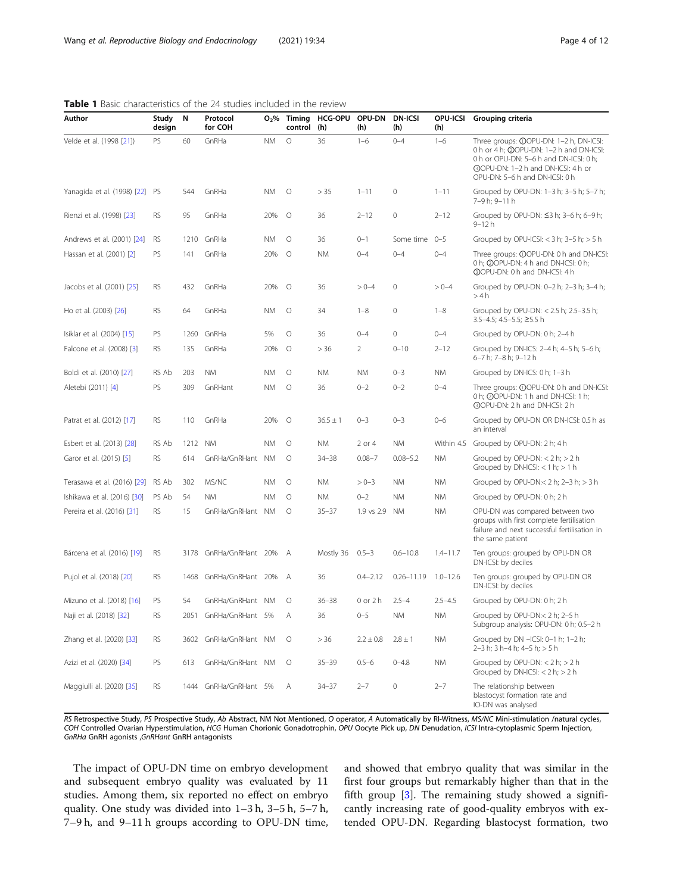| Author                         | Study<br>design | N       | Protocol<br>for COH   |           | $O2%$ Timing<br>control | <b>HCG-OPU</b><br>(h) | OPU-DN<br>(h) | <b>DN-ICSI</b><br>(h)  | OPU-ICSI<br>(h) | Grouping criteria                                                                                                                                                                                          |
|--------------------------------|-----------------|---------|-----------------------|-----------|-------------------------|-----------------------|---------------|------------------------|-----------------|------------------------------------------------------------------------------------------------------------------------------------------------------------------------------------------------------------|
| Velde et al. (1998 [21])       | PS              | 60      | GnRHa                 | <b>NM</b> | $\circ$                 | 36                    | $1 - 6$       | $0 - 4$                | $1 - 6$         | Three groups: ①OPU-DN: 1-2 h, DN-ICSI:<br>0 h or 4 h; @OPU-DN: 1-2 h and DN-ICSI:<br>0 h or OPU-DN: 5-6 h and DN-ICSI: 0 h;<br><b>@OPU-DN: 1-2 h and DN-ICSI: 4 h or</b><br>OPU-DN: 5-6 h and DN-ICSI: 0 h |
| Yanagida et al. (1998) [22] PS |                 | 544     | GnRHa                 | <b>NM</b> | $\circ$                 | > 35                  | $1 - 11$      | $\circ$                | $1 - 11$        | Grouped by OPU-DN: 1-3 h; 3-5 h; 5-7 h;<br>7-9h; 9-11 h                                                                                                                                                    |
| Rienzi et al. (1998) [23]      | RS              | 95      | GnRHa                 | 20%       | $\circ$                 | 36                    | $2 - 12$      | 0                      | $2 - 12$        | Grouped by OPU-DN: $\leq$ 3 h; 3–6 h; 6–9 h;<br>$9 - 12h$                                                                                                                                                  |
| Andrews et al. (2001) [24]     | RS              |         | 1210 GnRHa            | <b>NM</b> | 0                       | 36                    | $0 - 1$       | Some time 0-5          |                 | Grouped by OPU-ICSI: $<$ 3 h; 3–5 h; $>$ 5 h                                                                                                                                                               |
| Hassan et al. (2001) [2]       | PS              | 141     | GnRHa                 | 20%       | $\circ$                 | <b>NM</b>             | $0 - 4$       | $0 - 4$                | $0 - 4$         | Three groups: <b>OOPU-DN: 0 h and DN-ICSI</b><br>0 h; $\oslash$ OPU-DN: 4 h and DN-ICSI: 0 h;<br>@OPU-DN: 0 h and DN-ICSI: 4 h                                                                             |
| Jacobs et al. (2001) [25]      | RS              | 432     | GnRHa                 | 20%       | $\circ$                 | 36                    | $> 0 - 4$     | 0                      | $> 0 - 4$       | Grouped by OPU-DN: 0-2 h; 2-3 h; 3-4 h;<br>>4 h                                                                                                                                                            |
| Ho et al. (2003) [26]          | RS              | 64      | GnRHa                 | <b>NM</b> | О                       | 34                    | $1 - 8$       | 0                      | $1 - 8$         | Grouped by OPU-DN: < 2.5 h; 2.5-3.5 h;<br>$3.5 - 4.5$ ; 4.5 - 5.5; $\geq$ 5.5 h                                                                                                                            |
| Isiklar et al. (2004) [15]     | PS              | 1260    | GnRHa                 | 5%        | О                       | 36                    | $0 - 4$       | $\mathbf 0$            | $0 - 4$         | Grouped by OPU-DN: 0 h; 2-4 h                                                                                                                                                                              |
| Falcone et al. (2008) [3]      | RS              | 135     | GnRHa                 | 20%       | $\circ$                 | > 36                  | 2             | $0 - 10$               | $2 - 12$        | Grouped by DN-ICS: 2-4 h; 4-5 h; 5-6 h;<br>6-7 h; 7-8 h; 9-12 h                                                                                                                                            |
| Boldi et al. (2010) [27]       | RS Ab           | 203     | <b>NM</b>             | <b>NM</b> | $\circ$                 | <b>NM</b>             | <b>NM</b>     | $0 - 3$                | <b>NM</b>       | Grouped by DN-ICS: 0 h; 1-3 h                                                                                                                                                                              |
| Aletebi (2011) [4]             | PS              | 309     | GnRHant               | <b>NM</b> | $\circ$                 | 36                    | $0 - 2$       | $0 - 2$                | $0 - 4$         | Three groups: ①OPU-DN: 0 h and DN-ICSI<br>0 h; @OPU-DN: 1 h and DN-ICSI: 1 h;<br>@OPU-DN: 2 h and DN-ICSI: 2 h                                                                                             |
| Patrat et al. (2012) [17]      | RS              | 110     | GnRHa                 | 20%       | $\circ$                 | $36.5 \pm 1$          | $0 - 3$       | $0 - 3$                | $0 - 6$         | Grouped by OPU-DN OR DN-ICSI: 0.5 h as<br>an interval                                                                                                                                                      |
| Esbert et al. (2013) [28]      | RS Ab           | 1212 NM |                       | <b>NM</b> | $\circ$                 | <b>NM</b>             | 2 or 4        | <b>NM</b>              | Within 4.5      | Grouped by OPU-DN: 2 h; 4 h                                                                                                                                                                                |
| Garor et al. (2015) [5]        | RS              | 614     | GnRHa/GnRHant         | <b>NM</b> | $\circ$                 | $34 - 38$             | $0.08 - 7$    | $0.08 - 5.2$           | <b>NM</b>       | Grouped by OPU-DN: $<$ 2 h; $>$ 2 h<br>Grouped by DN-ICSI: $<$ 1 h; $>$ 1 h                                                                                                                                |
| Terasawa et al. (2016) [29]    | RS Ab           | 302     | MS/NC                 | <b>NM</b> | $\circ$                 | <b>NM</b>             | $> 0 - 3$     | <b>NM</b>              | <b>NM</b>       | Grouped by OPU-DN: $<$ 2 h; 2-3 h; $>$ 3 h                                                                                                                                                                 |
| Ishikawa et al. (2016) [30]    | PS Ab           | 54      | <b>NM</b>             | <b>NM</b> | $\circ$                 | <b>NM</b>             | $0 - 2$       | <b>NM</b>              | NM              | Grouped by OPU-DN: 0 h; 2 h                                                                                                                                                                                |
| Pereira et al. (2016) [31]     | RS              | 15      | GnRHa/GnRHant NM      |           | $\circ$                 | $35 - 37$             | 1.9 vs 2.9    | NM                     | <b>NM</b>       | OPU-DN was compared between two<br>groups with first complete fertilisation<br>failure and next successful fertilisation in<br>the same patient                                                            |
| Bárcena et al. (2016) [19]     | RS              | 3178    | GnRHa/GnRHant 20% A   |           |                         | Mostly 36             | $0.5 - 3$     | $0.6 - 10.8$           | $1.4 - 11.7$    | Ten groups: grouped by OPU-DN OR<br>DN-ICSI: by deciles                                                                                                                                                    |
| Pujol et al. (2018) [20]       | RS              | 1468    | GnRHa/GnRHant 20% A   |           |                         | 36                    | $0.4 - 2.12$  | $0.26 - 11.19$         | $1.0 - 12.6$    | Ten groups: grouped by OPU-DN OR<br>DN-ICSI: by deciles                                                                                                                                                    |
| Mizuno et al. (2018) [16]      | PS              | 54      | GnRHa/GnRHant NM      |           | 0                       | $36 - 38$             | 0 or 2 h      | $2.5 - 4$              | $2.5 - 4.5$     | Grouped by OPU-DN: 0 h; 2 h                                                                                                                                                                                |
| Naji et al. (2018) [32]        | RS              | 2051    | GnRHa/GnRHant 5%      |           |                         | 36                    | $0 - 5$       | $\mathsf{N}\mathsf{M}$ | <b>NM</b>       | Grouped by OPU-DN:< 2 h; 2-5 h<br>Subgroup analysis: OPU-DN: 0 h; 0.5-2 h                                                                                                                                  |
| Zhang et al. (2020) [33]       | RS              |         | 3602 GnRHa/GnRHant NM |           | $\circ$                 | > 36                  | $2.2 \pm 0.8$ | $2.8 \pm 1$            | <b>NM</b>       | Grouped by DN -ICSI: 0-1 h; 1-2 h;<br>2-3 h; 3 h-4 h; 4-5 h; > 5 h                                                                                                                                         |
| Azizi et al. (2020) [34]       | PS.             | 613     | GnRHa/GnRHant NM      |           | $\circ$                 | $35 - 39$             | $0.5 - 6$     | $0 - 4.8$              | <b>NM</b>       | Grouped by OPU-DN: $<$ 2 h; $>$ 2 h<br>Grouped by DN-ICSI: $< 2 h$ ; $> 2 h$                                                                                                                               |
| Maggiulli al. (2020) [35]      | RS              |         | 1444 GnRHa/GnRHant 5% |           | Α                       | $34 - 37$             | $2 - 7$       | 0                      | $2 - 7$         | The relationship between<br>blastocyst formation rate and<br>IO-DN was analysed                                                                                                                            |

<span id="page-3-0"></span>Table 1 Basic characteristics of the 24 studies included in the review

RS Retrospective Study, PS Prospective Study, Ab Abstract, NM Not Mentioned, O operator, A Automatically by RI-Witness, MS/NC Mini-stimulation /natural cycles, COH Controlled Ovarian Hyperstimulation, HCG Human Chorionic Gonadotrophin, OPU Oocyte Pick up, DN Denudation, ICSI Intra-cytoplasmic Sperm Injection, GnRHa GnRH agonists ,GnRHant GnRH antagonists

The impact of OPU-DN time on embryo development and subsequent embryo quality was evaluated by 11 studies. Among them, six reported no effect on embryo quality. One study was divided into 1–3 h, 3–5 h, 5–7 h, 7–9 h, and 9–11 h groups according to OPU-DN time, and showed that embryo quality that was similar in the first four groups but remarkably higher than that in the fifth group [[3\]](#page-10-0). The remaining study showed a significantly increasing rate of good-quality embryos with extended OPU-DN. Regarding blastocyst formation, two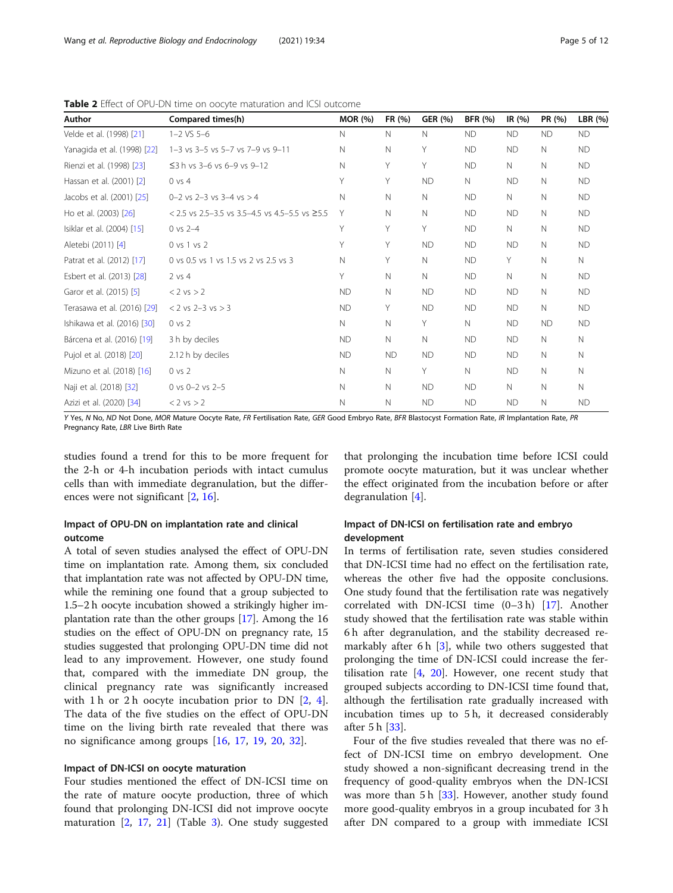| Author                      | Compared times(h)                                | <b>MOR (%)</b> | FR (%)      | <b>GER (%)</b> | <b>BFR (%)</b> | IR $(%)$  | PR (%)      | LBR (%)   |
|-----------------------------|--------------------------------------------------|----------------|-------------|----------------|----------------|-----------|-------------|-----------|
| Velde et al. (1998) [21]    | $1 - 2$ VS $5 - 6$                               | $\mathbb N$    | N           | $\mathbb N$    | <b>ND</b>      | <b>ND</b> | <b>ND</b>   | <b>ND</b> |
| Yanagida et al. (1998) [22] | 1-3 vs 3-5 vs 5-7 vs 7-9 vs 9-11                 | $\mathbb N$    | N           | Υ              | <b>ND</b>      | <b>ND</b> | $\mathbb N$ | <b>ND</b> |
| Rienzi et al. (1998) [23]   | $\leq$ 3 h vs 3–6 vs 6–9 vs 9–12                 | $\mathbb N$    | Y           | Υ              | <b>ND</b>      | N         | $\mathbb N$ | <b>ND</b> |
| Hassan et al. (2001) [2]    | $0$ vs $4$                                       | Υ              | Y           | <b>ND</b>      | $\mathbb N$    | ND        | $\mathbb N$ | <b>ND</b> |
| Jacobs et al. (2001) [25]   | 0-2 vs 2-3 vs 3-4 vs $>4$                        | $\mathbb N$    | N           | N              | <b>ND</b>      | N         | $\mathbb N$ | <b>ND</b> |
| Ho et al. (2003) [26]       | $<$ 2.5 vs 2.5–3.5 vs 3.5–4.5 vs 4.5–5.5 vs ≥5.5 | Υ              | N           | N              | <b>ND</b>      | <b>ND</b> | $\mathbb N$ | <b>ND</b> |
| Isiklar et al. (2004) [15]  | $0$ vs $2 - 4$                                   | Y              | Y           | Υ              | <b>ND</b>      | N         | $\mathbb N$ | <b>ND</b> |
| Aletebi (2011) [4]          | 0 vs 1 vs 2                                      | Y              | Y           | <b>ND</b>      | <b>ND</b>      | <b>ND</b> | $\mathbb N$ | <b>ND</b> |
| Patrat et al. (2012) [17]   | 0 vs 0.5 vs 1 vs 1.5 vs 2 vs 2.5 vs 3            | $\mathbb N$    | Y           | N.             | <b>ND</b>      | Y         | $\mathbb N$ | N.        |
| Esbert et al. (2013) [28]   | $2$ vs 4                                         | Υ              | $\mathbb N$ | N              | <b>ND</b>      | N         | $\mathbb N$ | <b>ND</b> |
| Garor et al. (2015) [5]     | $< 2$ vs $> 2$                                   | <b>ND</b>      | $\mathbb N$ | <b>ND</b>      | <b>ND</b>      | <b>ND</b> | $\mathbb N$ | <b>ND</b> |
| Terasawa et al. (2016) [29] | $< 2$ vs 2-3 vs $> 3$                            | <b>ND</b>      | Y           | <b>ND</b>      | <b>ND</b>      | <b>ND</b> | $\mathbb N$ | <b>ND</b> |
| Ishikawa et al. (2016) [30] | $0$ vs $2$                                       | $\mathbb N$    | $\mathbb N$ | Υ              | $\mathbb N$    | <b>ND</b> | <b>ND</b>   | <b>ND</b> |
| Bárcena et al. (2016) [19]  | 3 h by deciles                                   | <b>ND</b>      | N           | N              | <b>ND</b>      | <b>ND</b> | N           | N.        |
| Pujol et al. (2018) [20]    | 2.12 h by deciles                                | <b>ND</b>      | <b>ND</b>   | <b>ND</b>      | <b>ND</b>      | <b>ND</b> | $\mathbb N$ | N.        |
| Mizuno et al. (2018) [16]   | $0 \text{ vs } 2$                                | $\mathbb N$    | $\mathbb N$ | Y              | $\mathsf{N}$   | <b>ND</b> | $\mathbb N$ | N.        |
| Naji et al. (2018) [32]     | 0 vs $0 - 2$ vs $2 - 5$                          | $\mathbb N$    | $\mathbb N$ | <b>ND</b>      | <b>ND</b>      | N         | $\mathbb N$ | N.        |
| Azizi et al. (2020) [34]    | $< 2$ vs $> 2$                                   | $\mathbb N$    | N           | <b>ND</b>      | <b>ND</b>      | <b>ND</b> | $\mathbb N$ | <b>ND</b> |

<span id="page-4-0"></span>Table 2 Effect of OPU-DN time on oocyte maturation and ICSI outcome

Y Yes, N No, ND Not Done, MOR Mature Oocyte Rate, FR Fertilisation Rate, GER Good Embryo Rate, BFR Blastocyst Formation Rate, IR Implantation Rate, PR Pregnancy Rate, LBR Live Birth Rate

studies found a trend for this to be more frequent for the 2-h or 4-h incubation periods with intact cumulus cells than with immediate degranulation, but the differences were not significant [[2,](#page-10-0) [16\]](#page-10-0).

#### Impact of OPU-DN on implantation rate and clinical outcome

A total of seven studies analysed the effect of OPU-DN time on implantation rate. Among them, six concluded that implantation rate was not affected by OPU-DN time, while the remining one found that a group subjected to 1.5–2 h oocyte incubation showed a strikingly higher implantation rate than the other groups [[17\]](#page-10-0). Among the 16 studies on the effect of OPU-DN on pregnancy rate, 15 studies suggested that prolonging OPU-DN time did not lead to any improvement. However, one study found that, compared with the immediate DN group, the clinical pregnancy rate was significantly increased with 1 h or 2 h oocyte incubation prior to DN  $[2, 4]$  $[2, 4]$  $[2, 4]$  $[2, 4]$ . The data of the five studies on the effect of OPU-DN time on the living birth rate revealed that there was no significance among groups [[16](#page-10-0), [17,](#page-10-0) [19,](#page-10-0) [20,](#page-10-0) [32](#page-11-0)].

#### Impact of DN-ICSI on oocyte maturation

Four studies mentioned the effect of DN-ICSI time on the rate of mature oocyte production, three of which found that prolonging DN-ICSI did not improve oocyte maturation [\[2,](#page-10-0) [17,](#page-10-0) [21](#page-10-0)] (Table [3](#page-5-0)). One study suggested that prolonging the incubation time before ICSI could promote oocyte maturation, but it was unclear whether the effect originated from the incubation before or after degranulation [\[4](#page-10-0)].

#### Impact of DN-ICSI on fertilisation rate and embryo development

In terms of fertilisation rate, seven studies considered that DN-ICSI time had no effect on the fertilisation rate, whereas the other five had the opposite conclusions. One study found that the fertilisation rate was negatively correlated with DN-ICSI time (0–3 h) [[17\]](#page-10-0). Another study showed that the fertilisation rate was stable within 6 h after degranulation, and the stability decreased remarkably after 6 h  $[3]$  $[3]$ , while two others suggested that prolonging the time of DN-ICSI could increase the fertilisation rate  $[4, 20]$  $[4, 20]$  $[4, 20]$  $[4, 20]$ . However, one recent study that grouped subjects according to DN-ICSI time found that, although the fertilisation rate gradually increased with incubation times up to 5 h, it decreased considerably after 5 h [\[33](#page-11-0)].

Four of the five studies revealed that there was no effect of DN-ICSI time on embryo development. One study showed a non-significant decreasing trend in the frequency of good-quality embryos when the DN-ICSI was more than 5 h [\[33\]](#page-11-0). However, another study found more good-quality embryos in a group incubated for 3 h after DN compared to a group with immediate ICSI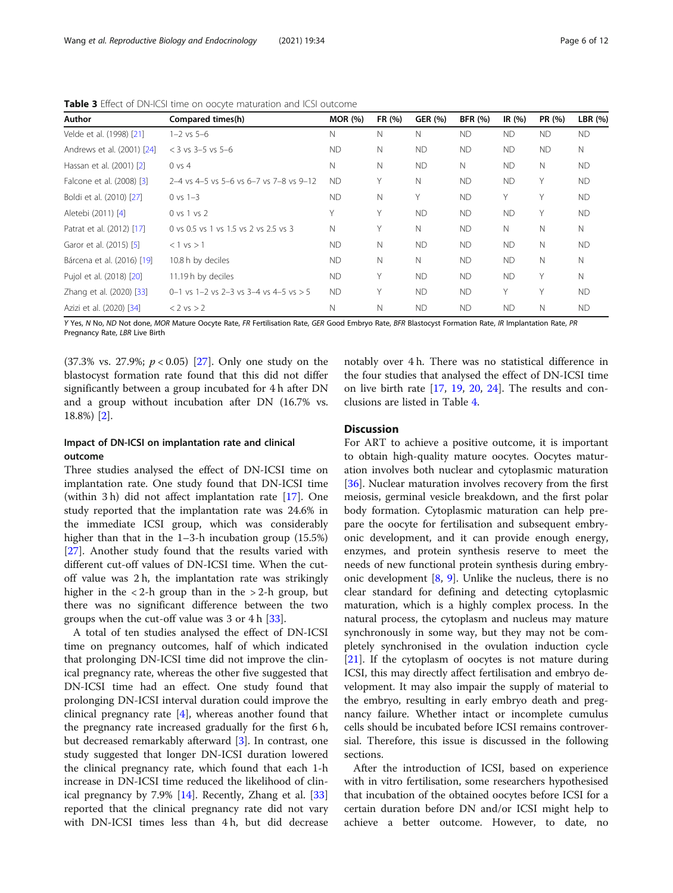<span id="page-5-0"></span>Table 3 Effect of DN-ICSI time on oocyte maturation and ICSI outcome

| Author                     | Compared times(h)                                  | <b>MOR</b> (%) | FR (%) | <b>GER (%)</b> | <b>BFR</b> (%) | IR $(%)$  | PR (%)    | LBR $(%)$ |
|----------------------------|----------------------------------------------------|----------------|--------|----------------|----------------|-----------|-----------|-----------|
| Velde et al. (1998) [21]   | $1 - 2$ vs $5 - 6$                                 | N              | N      | N              | <b>ND</b>      | <b>ND</b> | <b>ND</b> | <b>ND</b> |
| Andrews et al. (2001) [24] | $<$ 3 vs 3-5 vs 5-6                                | ND.            | N      | <b>ND</b>      | <b>ND</b>      | ND.       | <b>ND</b> | N         |
| Hassan et al. (2001) [2]   | $0 \text{ vs } 4$                                  | N              | N      | <b>ND</b>      | N              | <b>ND</b> | N         | <b>ND</b> |
| Falcone et al. (2008) [3]  | $2-4$ vs 4-5 vs 5-6 vs 6-7 vs 7-8 vs 9-12          | ND.            | Υ      | N              | <b>ND</b>      | ND.       | Υ         | <b>ND</b> |
| Boldi et al. (2010) [27]   | $0 \text{ vs } 1-3$                                | ND.            | N      | Υ              | <b>ND</b>      | Υ         | Υ         | <b>ND</b> |
| Aletebi (2011) [4]         | 0 vs 1 vs 2                                        | V              | Υ      | <b>ND</b>      | <b>ND</b>      | <b>ND</b> | Υ         | <b>ND</b> |
| Patrat et al. (2012) [17]  | 0 ys 0.5 ys 1 ys 1.5 ys 2 ys 2.5 ys 3              | N              | Υ      | $\mathbb N$    | <b>ND</b>      | N         | N         | N         |
| Garor et al. (2015) [5]    | $<$ 1 vs $>$ 1                                     | <b>ND</b>      | N      | <b>ND</b>      | <b>ND</b>      | <b>ND</b> | N         | <b>ND</b> |
| Bárcena et al. (2016) [19] | 10.8 h by deciles                                  | <b>ND</b>      | N      | $\mathbb N$    | <b>ND</b>      | <b>ND</b> | N         | N         |
| Pujol et al. (2018) [20]   | 11.19 h by deciles                                 | ND.            | Υ      | <b>ND</b>      | <b>ND</b>      | <b>ND</b> | Y         | N         |
| Zhang et al. (2020) [33]   | $0-1$ vs $1-2$ vs $2-3$ vs $3-4$ vs $4-5$ vs $> 5$ | ND.            | Υ      | <b>ND</b>      | <b>ND</b>      | Υ         | Υ         | <b>ND</b> |
| Azizi et al. (2020) [34]   | $< 2$ vs $> 2$                                     | N              | N      | <b>ND</b>      | <b>ND</b>      | <b>ND</b> | N         | <b>ND</b> |

Y Yes, N No, ND Not done, MOR Mature Oocyte Rate, FR Fertilisation Rate, GER Good Embryo Rate, BFR Blastocyst Formation Rate, IR Implantation Rate, PR Pregnancy Rate, LBR Live Birth

(37.3% vs. 27.9%;  $p < 0.05$ ) [\[27](#page-11-0)]. Only one study on the blastocyst formation rate found that this did not differ significantly between a group incubated for 4 h after DN and a group without incubation after DN (16.7% vs. 18.8%) [[2\]](#page-10-0).

## notably over 4 h. There was no statistical difference in the four studies that analysed the effect of DN-ICSI time on live birth rate [[17](#page-10-0), [19](#page-10-0), [20](#page-10-0), [24](#page-10-0)]. The results and conclusions are listed in Table [4](#page-6-0).

### Impact of DN-ICSI on implantation rate and clinical outcome

Three studies analysed the effect of DN-ICSI time on implantation rate. One study found that DN-ICSI time (within 3 h) did not affect implantation rate [\[17](#page-10-0)]. One study reported that the implantation rate was 24.6% in the immediate ICSI group, which was considerably higher than that in the 1–3-h incubation group (15.5%) [[27\]](#page-11-0). Another study found that the results varied with different cut-off values of DN-ICSI time. When the cutoff value was 2 h, the implantation rate was strikingly higher in the  $\langle 2-h \rangle$  group than in the  $> 2-h \rangle$  group, but there was no significant difference between the two groups when the cut-off value was 3 or 4 h [\[33](#page-11-0)].

A total of ten studies analysed the effect of DN-ICSI time on pregnancy outcomes, half of which indicated that prolonging DN-ICSI time did not improve the clinical pregnancy rate, whereas the other five suggested that DN-ICSI time had an effect. One study found that prolonging DN-ICSI interval duration could improve the clinical pregnancy rate  $[4]$  $[4]$ , whereas another found that the pregnancy rate increased gradually for the first 6 h, but decreased remarkably afterward [\[3](#page-10-0)]. In contrast, one study suggested that longer DN-ICSI duration lowered the clinical pregnancy rate, which found that each 1-h increase in DN-ICSI time reduced the likelihood of clinical pregnancy by 7.9% [[14\]](#page-10-0). Recently, Zhang et al. [[33](#page-11-0)] reported that the clinical pregnancy rate did not vary with DN-ICSI times less than 4 h, but did decrease

#### **Discussion**

For ART to achieve a positive outcome, it is important to obtain high-quality mature oocytes. Oocytes maturation involves both nuclear and cytoplasmic maturation [[36\]](#page-11-0). Nuclear maturation involves recovery from the first meiosis, germinal vesicle breakdown, and the first polar body formation. Cytoplasmic maturation can help prepare the oocyte for fertilisation and subsequent embryonic development, and it can provide enough energy, enzymes, and protein synthesis reserve to meet the needs of new functional protein synthesis during embryonic development  $[8, 9]$  $[8, 9]$  $[8, 9]$ . Unlike the nucleus, there is no clear standard for defining and detecting cytoplasmic maturation, which is a highly complex process. In the natural process, the cytoplasm and nucleus may mature synchronously in some way, but they may not be completely synchronised in the ovulation induction cycle [[21\]](#page-10-0). If the cytoplasm of oocytes is not mature during ICSI, this may directly affect fertilisation and embryo development. It may also impair the supply of material to the embryo, resulting in early embryo death and pregnancy failure. Whether intact or incomplete cumulus cells should be incubated before ICSI remains controversial. Therefore, this issue is discussed in the following sections.

After the introduction of ICSI, based on experience with in vitro fertilisation, some researchers hypothesised that incubation of the obtained oocytes before ICSI for a certain duration before DN and/or ICSI might help to achieve a better outcome. However, to date, no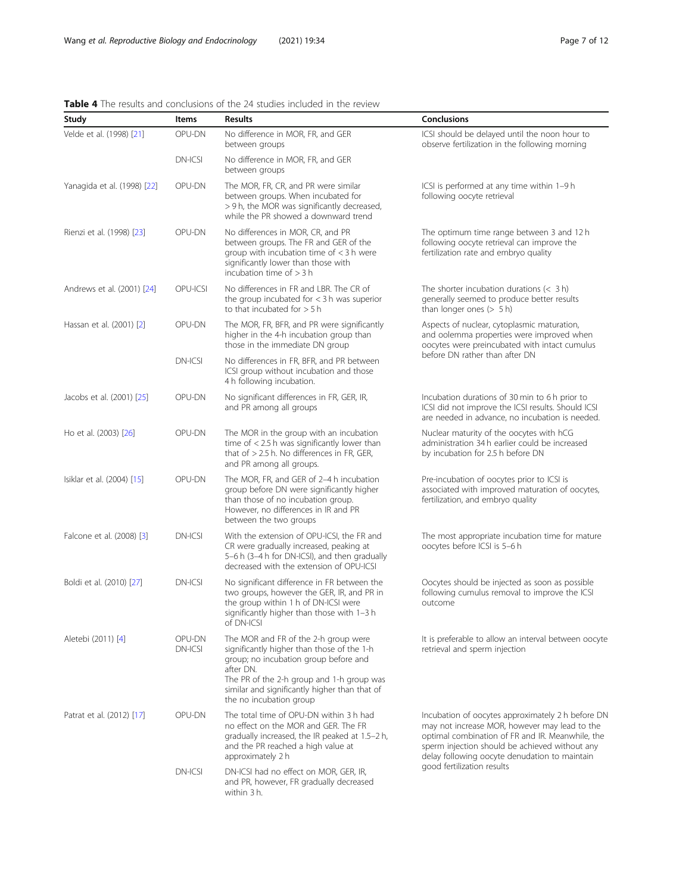<span id="page-6-0"></span>

|  |  |  |  | <b>Table 4</b> The results and conclusions of the 24 studies included in the review |  |  |  |  |  |  |
|--|--|--|--|-------------------------------------------------------------------------------------|--|--|--|--|--|--|
|--|--|--|--|-------------------------------------------------------------------------------------|--|--|--|--|--|--|

| Study                       | Items                    | <b>Results</b>                                                                                                                                                                                                                                                    | Conclusions                                                                                                                                                                                                                                               |  |  |  |  |
|-----------------------------|--------------------------|-------------------------------------------------------------------------------------------------------------------------------------------------------------------------------------------------------------------------------------------------------------------|-----------------------------------------------------------------------------------------------------------------------------------------------------------------------------------------------------------------------------------------------------------|--|--|--|--|
| Velde et al. (1998) [21]    | OPU-DN                   | No difference in MOR, FR, and GER<br>between groups                                                                                                                                                                                                               | ICSI should be delayed until the noon hour to<br>observe fertilization in the following morning                                                                                                                                                           |  |  |  |  |
|                             | <b>DN-ICSI</b>           | No difference in MOR, FR, and GER<br>between groups                                                                                                                                                                                                               |                                                                                                                                                                                                                                                           |  |  |  |  |
| Yanagida et al. (1998) [22] | OPU-DN                   | The MOR, FR, CR, and PR were similar<br>between groups. When incubated for<br>> 9 h, the MOR was significantly decreased,<br>while the PR showed a downward trend                                                                                                 | ICSI is performed at any time within 1-9 h<br>following oocyte retrieval                                                                                                                                                                                  |  |  |  |  |
| Rienzi et al. (1998) [23]   | OPU-DN                   | No differences in MOR, CR, and PR<br>between groups. The FR and GER of the<br>group with incubation time of $<$ 3 h were<br>significantly lower than those with<br>incubation time of $>$ 3 h                                                                     | The optimum time range between 3 and 12 h<br>following oocyte retrieval can improve the<br>fertilization rate and embryo quality                                                                                                                          |  |  |  |  |
| Andrews et al. (2001) [24]  | OPU-ICSI                 | No differences in FR and LBR. The CR of<br>the group incubated for $<$ 3 h was superior<br>to that incubated for $> 5 h$                                                                                                                                          | The shorter incubation durations $(<$ 3 h)<br>generally seemed to produce better results<br>than longer ones $(> 5 h)$                                                                                                                                    |  |  |  |  |
| Hassan et al. (2001) [2]    | OPU-DN                   | The MOR, FR, BFR, and PR were significantly<br>higher in the 4-h incubation group than<br>those in the immediate DN group                                                                                                                                         | Aspects of nuclear, cytoplasmic maturation,<br>and oolemma properties were improved when<br>oocytes were preincubated with intact cumulus                                                                                                                 |  |  |  |  |
|                             | <b>DN-ICSI</b>           | No differences in FR, BFR, and PR between<br>ICSI group without incubation and those<br>4 h following incubation.                                                                                                                                                 | before DN rather than after DN                                                                                                                                                                                                                            |  |  |  |  |
| Jacobs et al. (2001) [25]   | OPU-DN                   | No significant differences in FR, GER, IR,<br>and PR among all groups                                                                                                                                                                                             | Incubation durations of 30 min to 6 h prior to<br>ICSI did not improve the ICSI results. Should ICSI<br>are needed in advance, no incubation is needed.                                                                                                   |  |  |  |  |
| Ho et al. (2003) [26]       | OPU-DN                   | The MOR in the group with an incubation<br>time of $<$ 2.5 h was significantly lower than<br>that of $> 2.5$ h. No differences in FR, GER,<br>and PR among all groups.                                                                                            | Nuclear maturity of the oocytes with hCG<br>administration 34 h earlier could be increased<br>by incubation for 2.5 h before DN                                                                                                                           |  |  |  |  |
| Isiklar et al. (2004) [15]  | OPU-DN                   | The MOR, FR, and GER of 2-4 h incubation<br>group before DN were significantly higher<br>than those of no incubation group.<br>However, no differences in IR and PR<br>between the two groups                                                                     | Pre-incubation of oocytes prior to ICSI is<br>associated with improved maturation of oocytes,<br>fertilization, and embryo quality                                                                                                                        |  |  |  |  |
| Falcone et al. (2008) [3]   | <b>DN-ICSI</b>           | With the extension of OPU-ICSI, the FR and<br>CR were gradually increased, peaking at<br>5-6 h (3-4 h for DN-ICSI), and then gradually<br>decreased with the extension of OPU-ICSI                                                                                | The most appropriate incubation time for mature<br>oocytes before ICSI is 5-6 h                                                                                                                                                                           |  |  |  |  |
| Boldi et al. (2010) [27]    | DN-ICSI                  | No significant difference in FR between the<br>two groups, however the GER, IR, and PR in<br>the group within 1 h of DN-ICSI were<br>significantly higher than those with 1-3 h<br>of DN-ICSI                                                                     | Oocytes should be injected as soon as possible<br>following cumulus removal to improve the ICSI<br>outcome                                                                                                                                                |  |  |  |  |
| Aletebi (2011) [4]          | OPU-DN<br><b>DN-ICSI</b> | The MOR and FR of the 2-h group were<br>significantly higher than those of the 1-h<br>group; no incubation group before and<br>after DN.<br>The PR of the 2-h group and 1-h group was<br>similar and significantly higher than that of<br>the no incubation group | It is preferable to allow an interval between oocyte<br>retrieval and sperm injection                                                                                                                                                                     |  |  |  |  |
| Patrat et al. (2012) [17]   | OPU-DN                   | The total time of OPU-DN within 3 h had<br>no effect on the MOR and GER. The FR<br>gradually increased, the IR peaked at 1.5–2 h,<br>and the PR reached a high value at<br>approximately 2 h                                                                      | Incubation of oocytes approximately 2 h before DN<br>may not increase MOR, however may lead to the<br>optimal combination of FR and IR. Meanwhile, the<br>sperm injection should be achieved without any<br>delay following oocyte denudation to maintain |  |  |  |  |
|                             | <b>DN-ICSI</b>           | DN-ICSI had no effect on MOR, GER, IR,<br>and PR, however, FR gradually decreased<br>within 3 h.                                                                                                                                                                  | good fertilization results                                                                                                                                                                                                                                |  |  |  |  |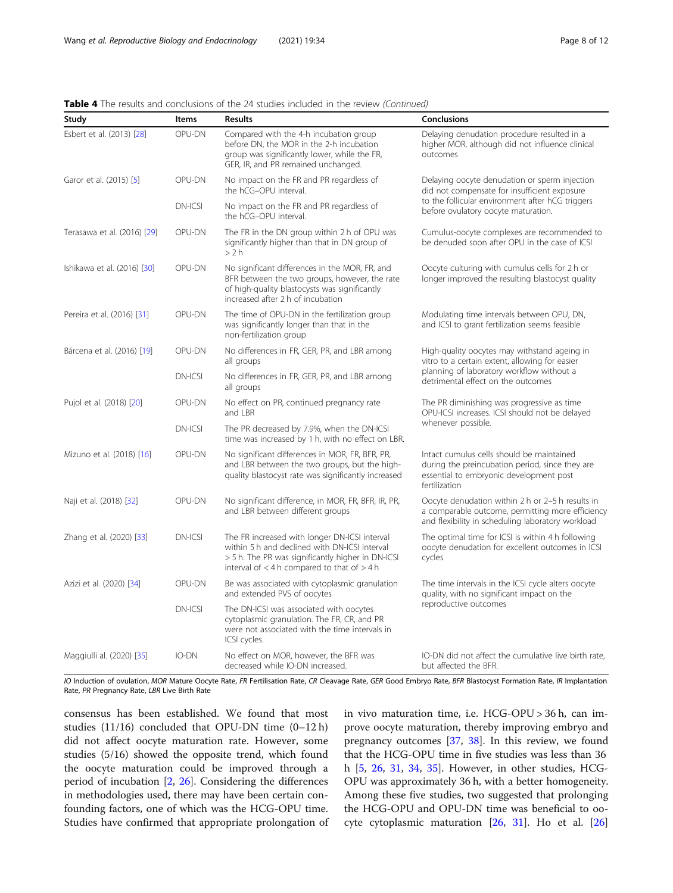|  |  | Table 4 The results and conclusions of the 24 studies included in the review (Continued) |  |  |  |  |  |
|--|--|------------------------------------------------------------------------------------------|--|--|--|--|--|
|  |  |                                                                                          |  |  |  |  |  |

| Study                       | <b>Results</b><br><b>Items</b> |                                                                                                                                                                                                        | <b>Conclusions</b>                                                                                                                                        |
|-----------------------------|--------------------------------|--------------------------------------------------------------------------------------------------------------------------------------------------------------------------------------------------------|-----------------------------------------------------------------------------------------------------------------------------------------------------------|
| Esbert et al. (2013) [28]   | OPU-DN                         | Compared with the 4-h incubation group<br>before DN, the MOR in the 2-h incubation<br>group was significantly lower, while the FR,<br>GER, IR, and PR remained unchanged.                              | Delaying denudation procedure resulted in a<br>higher MOR, although did not influence clinical<br>outcomes                                                |
| Garor et al. (2015) [5]     | OPU-DN                         | No impact on the FR and PR regardless of<br>the hCG-OPU interval.                                                                                                                                      | Delaying oocyte denudation or sperm injection<br>did not compensate for insufficient exposure                                                             |
|                             | <b>DN-ICSI</b>                 | No impact on the FR and PR regardless of<br>the hCG-OPU interval.                                                                                                                                      | to the follicular environment after hCG triggers<br>before ovulatory oocyte maturation.                                                                   |
| Terasawa et al. (2016) [29] | OPU-DN                         | The FR in the DN group within 2 h of OPU was<br>significantly higher than that in DN group of<br>>2 h                                                                                                  | Cumulus-oocyte complexes are recommended to<br>be denuded soon after OPU in the case of ICSI                                                              |
| Ishikawa et al. (2016) [30] | OPU-DN                         | No significant differences in the MOR, FR, and<br>BFR between the two groups, however, the rate<br>of high-quality blastocysts was significantly<br>increased after 2 h of incubation                  | Oocyte culturing with cumulus cells for 2 h or<br>longer improved the resulting blastocyst quality                                                        |
| Pereira et al. (2016) [31]  | OPU-DN                         | The time of OPU-DN in the fertilization group<br>was significantly longer than that in the<br>non-fertilization group                                                                                  | Modulating time intervals between OPU, DN,<br>and ICSI to grant fertilization seems feasible                                                              |
| Bárcena et al. (2016) [19]  | OPU-DN                         | No differences in FR, GER, PR, and LBR among<br>all groups                                                                                                                                             | High-quality oocytes may withstand ageing in<br>vitro to a certain extent, allowing for easier                                                            |
|                             | DN-ICSI                        | No differences in FR, GER, PR, and LBR among<br>all groups                                                                                                                                             | planning of laboratory workflow without a<br>detrimental effect on the outcomes                                                                           |
| Pujol et al. (2018) [20]    | OPU-DN                         | No effect on PR, continued pregnancy rate<br>and LBR                                                                                                                                                   | The PR diminishing was progressive as time<br>OPU-ICSI increases. ICSI should not be delayed                                                              |
|                             | DN-ICSI                        | The PR decreased by 7.9%, when the DN-ICSI<br>time was increased by 1 h, with no effect on LBR.                                                                                                        | whenever possible.                                                                                                                                        |
| Mizuno et al. (2018) [16]   | OPU-DN                         | No significant differences in MOR, FR, BFR, PR,<br>and LBR between the two groups, but the high-<br>quality blastocyst rate was significantly increased                                                | Intact cumulus cells should be maintained<br>during the preincubation period, since they are<br>essential to embryonic development post<br>fertilization  |
| Naji et al. (2018) [32]     | OPU-DN                         | No significant difference, in MOR, FR, BFR, IR, PR,<br>and LBR between different groups                                                                                                                | Oocyte denudation within 2 h or 2-5 h results in<br>a comparable outcome, permitting more efficiency<br>and flexibility in scheduling laboratory workload |
| Zhang et al. (2020) [33]    | <b>DN-ICSI</b>                 | The FR increased with longer DN-ICSI interval<br>within 5 h and declined with DN-ICSI interval<br>> 5 h. The PR was significantly higher in DN-ICSI<br>interval of $<$ 4 h compared to that of $>$ 4 h | The optimal time for ICSI is within 4 h following<br>oocyte denudation for excellent outcomes in ICSI<br>cycles                                           |
| Azizi et al. (2020) [34]    | OPU-DN                         | Be was associated with cytoplasmic granulation<br>and extended PVS of oocytes                                                                                                                          | The time intervals in the ICSI cycle alters oocyte<br>quality, with no significant impact on the                                                          |
|                             | <b>DN-ICSI</b>                 | The DN-ICSI was associated with oocytes<br>cytoplasmic granulation. The FR, CR, and PR<br>were not associated with the time intervals in<br>ICSI cycles.                                               | reproductive outcomes                                                                                                                                     |
| Maggiulli al. (2020) [35]   | IO-DN                          | No effect on MOR, however, the BFR was<br>decreased while IO-DN increased.                                                                                                                             | IO-DN did not affect the cumulative live birth rate,<br>but affected the BFR.                                                                             |

IO Induction of ovulation, MOR Mature Oocyte Rate, FR Fertilisation Rate, CR Cleavage Rate, GER Good Embryo Rate, BFR Blastocyst Formation Rate, IR Implantation Rate, PR Pregnancy Rate, LBR Live Birth Rate

consensus has been established. We found that most studies (11/16) concluded that OPU-DN time (0–12 h) did not affect oocyte maturation rate. However, some studies (5/16) showed the opposite trend, which found the oocyte maturation could be improved through a period of incubation [\[2,](#page-10-0) [26](#page-11-0)]. Considering the differences in methodologies used, there may have been certain confounding factors, one of which was the HCG-OPU time. Studies have confirmed that appropriate prolongation of in vivo maturation time, i.e. HCG-OPU > 36 h, can improve oocyte maturation, thereby improving embryo and pregnancy outcomes [\[37,](#page-11-0) [38](#page-11-0)]. In this review, we found that the HCG-OPU time in five studies was less than 36 h [[5](#page-10-0), [26,](#page-11-0) [31](#page-11-0), [34](#page-11-0), [35\]](#page-11-0). However, in other studies, HCG-OPU was approximately 36 h, with a better homogeneity. Among these five studies, two suggested that prolonging the HCG-OPU and OPU-DN time was beneficial to oocyte cytoplasmic maturation [[26,](#page-11-0) [31\]](#page-11-0). Ho et al. [[26](#page-11-0)]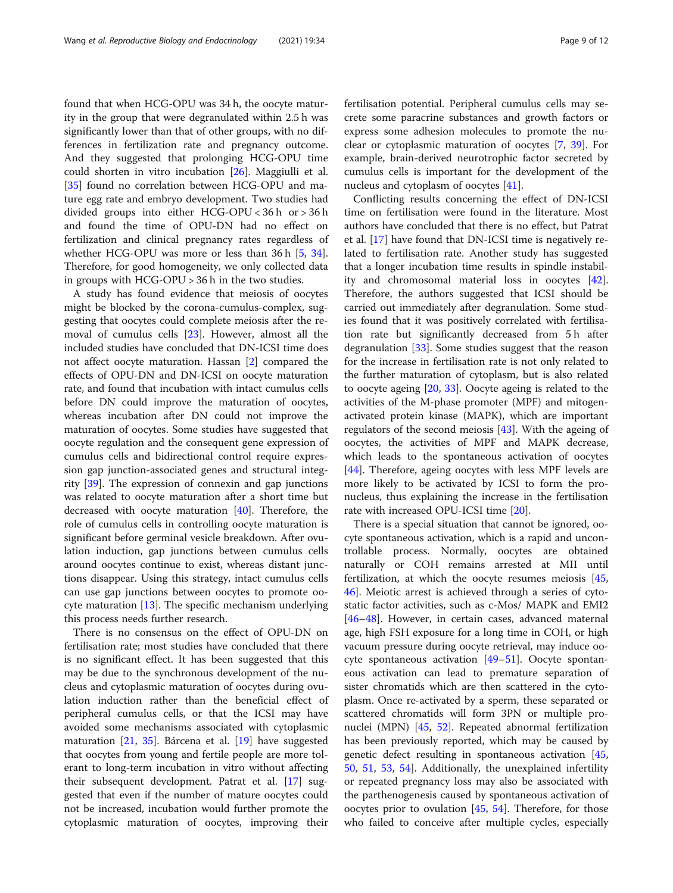found that when HCG-OPU was 34 h, the oocyte maturity in the group that were degranulated within 2.5 h was significantly lower than that of other groups, with no differences in fertilization rate and pregnancy outcome. And they suggested that prolonging HCG-OPU time could shorten in vitro incubation [[26](#page-11-0)]. Maggiulli et al. [[35\]](#page-11-0) found no correlation between HCG-OPU and mature egg rate and embryo development. Two studies had divided groups into either HCG-OPU < 36 h or > 36 h and found the time of OPU-DN had no effect on fertilization and clinical pregnancy rates regardless of whether HCG-OPU was more or less than 36 h [\[5](#page-10-0), [34](#page-11-0)]. Therefore, for good homogeneity, we only collected data in groups with HCG-OPU > 36 h in the two studies.

A study has found evidence that meiosis of oocytes might be blocked by the corona-cumulus-complex, suggesting that oocytes could complete meiosis after the removal of cumulus cells [\[23\]](#page-10-0). However, almost all the included studies have concluded that DN-ICSI time does not affect oocyte maturation. Hassan [\[2](#page-10-0)] compared the effects of OPU-DN and DN-ICSI on oocyte maturation rate, and found that incubation with intact cumulus cells before DN could improve the maturation of oocytes, whereas incubation after DN could not improve the maturation of oocytes. Some studies have suggested that oocyte regulation and the consequent gene expression of cumulus cells and bidirectional control require expression gap junction-associated genes and structural integrity [\[39](#page-11-0)]. The expression of connexin and gap junctions was related to oocyte maturation after a short time but decreased with oocyte maturation [[40\]](#page-11-0). Therefore, the role of cumulus cells in controlling oocyte maturation is significant before germinal vesicle breakdown. After ovulation induction, gap junctions between cumulus cells around oocytes continue to exist, whereas distant junctions disappear. Using this strategy, intact cumulus cells can use gap junctions between oocytes to promote oocyte maturation [\[13](#page-10-0)]. The specific mechanism underlying this process needs further research.

There is no consensus on the effect of OPU-DN on fertilisation rate; most studies have concluded that there is no significant effect. It has been suggested that this may be due to the synchronous development of the nucleus and cytoplasmic maturation of oocytes during ovulation induction rather than the beneficial effect of peripheral cumulus cells, or that the ICSI may have avoided some mechanisms associated with cytoplasmic maturation [[21](#page-10-0), [35\]](#page-11-0). Bárcena et al. [[19\]](#page-10-0) have suggested that oocytes from young and fertile people are more tolerant to long-term incubation in vitro without affecting their subsequent development. Patrat et al. [[17](#page-10-0)] suggested that even if the number of mature oocytes could not be increased, incubation would further promote the cytoplasmic maturation of oocytes, improving their fertilisation potential. Peripheral cumulus cells may secrete some paracrine substances and growth factors or express some adhesion molecules to promote the nuclear or cytoplasmic maturation of oocytes [[7,](#page-10-0) [39](#page-11-0)]. For example, brain-derived neurotrophic factor secreted by cumulus cells is important for the development of the nucleus and cytoplasm of oocytes [\[41](#page-11-0)].

Conflicting results concerning the effect of DN-ICSI time on fertilisation were found in the literature. Most authors have concluded that there is no effect, but Patrat et al. [\[17](#page-10-0)] have found that DN-ICSI time is negatively related to fertilisation rate. Another study has suggested that a longer incubation time results in spindle instability and chromosomal material loss in oocytes [\[42](#page-11-0)]. Therefore, the authors suggested that ICSI should be carried out immediately after degranulation. Some studies found that it was positively correlated with fertilisation rate but significantly decreased from 5 h after degranulation [\[33](#page-11-0)]. Some studies suggest that the reason for the increase in fertilisation rate is not only related to the further maturation of cytoplasm, but is also related to oocyte ageing [\[20](#page-10-0), [33](#page-11-0)]. Oocyte ageing is related to the activities of the M-phase promoter (MPF) and mitogenactivated protein kinase (MAPK), which are important regulators of the second meiosis [\[43](#page-11-0)]. With the ageing of oocytes, the activities of MPF and MAPK decrease, which leads to the spontaneous activation of oocytes [[44\]](#page-11-0). Therefore, ageing oocytes with less MPF levels are more likely to be activated by ICSI to form the pronucleus, thus explaining the increase in the fertilisation rate with increased OPU-ICSI time [[20\]](#page-10-0).

There is a special situation that cannot be ignored, oocyte spontaneous activation, which is a rapid and uncontrollable process. Normally, oocytes are obtained naturally or COH remains arrested at MII until fertilization, at which the oocyte resumes meiosis [[45](#page-11-0), [46\]](#page-11-0). Meiotic arrest is achieved through a series of cytostatic factor activities, such as c-Mos/ MAPK and EMI2 [[46](#page-11-0)–[48](#page-11-0)]. However, in certain cases, advanced maternal age, high FSH exposure for a long time in COH, or high vacuum pressure during oocyte retrieval, may induce oocyte spontaneous activation [\[49](#page-11-0)–[51](#page-11-0)]. Oocyte spontaneous activation can lead to premature separation of sister chromatids which are then scattered in the cytoplasm. Once re-activated by a sperm, these separated or scattered chromatids will form 3PN or multiple pronuclei (MPN) [\[45](#page-11-0), [52\]](#page-11-0). Repeated abnormal fertilization has been previously reported, which may be caused by genetic defect resulting in spontaneous activation [[45](#page-11-0), [50,](#page-11-0) [51,](#page-11-0) [53](#page-11-0), [54\]](#page-11-0). Additionally, the unexplained infertility or repeated pregnancy loss may also be associated with the parthenogenesis caused by spontaneous activation of oocytes prior to ovulation [\[45](#page-11-0), [54\]](#page-11-0). Therefore, for those who failed to conceive after multiple cycles, especially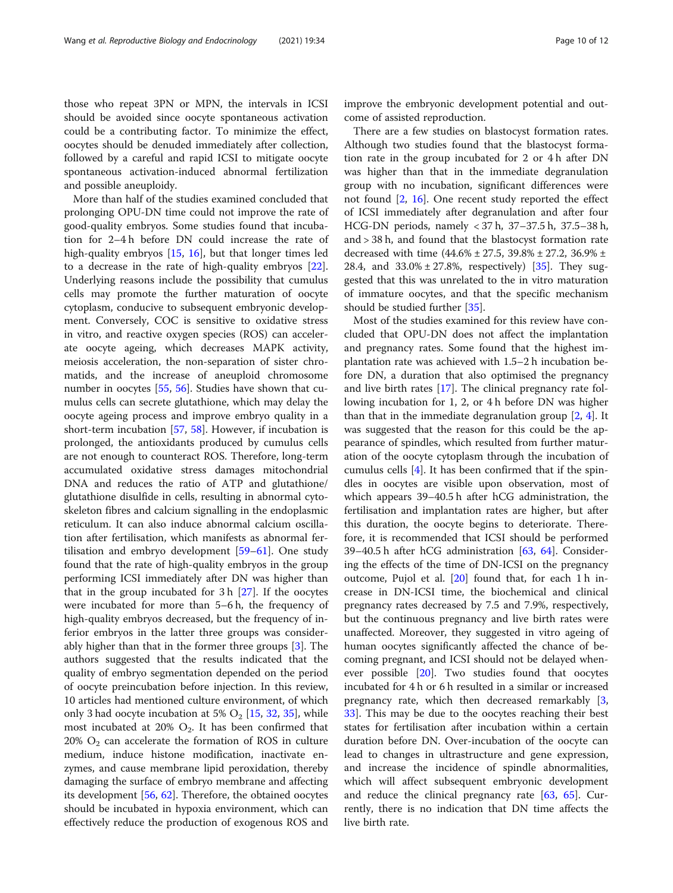those who repeat 3PN or MPN, the intervals in ICSI should be avoided since oocyte spontaneous activation could be a contributing factor. To minimize the effect, oocytes should be denuded immediately after collection, followed by a careful and rapid ICSI to mitigate oocyte spontaneous activation-induced abnormal fertilization and possible aneuploidy.

More than half of the studies examined concluded that prolonging OPU-DN time could not improve the rate of good-quality embryos. Some studies found that incubation for 2–4 h before DN could increase the rate of high-quality embryos [\[15,](#page-10-0) [16\]](#page-10-0), but that longer times led to a decrease in the rate of high-quality embryos [\[22](#page-10-0)]. Underlying reasons include the possibility that cumulus cells may promote the further maturation of oocyte cytoplasm, conducive to subsequent embryonic development. Conversely, COC is sensitive to oxidative stress in vitro, and reactive oxygen species (ROS) can accelerate oocyte ageing, which decreases MAPK activity, meiosis acceleration, the non-separation of sister chromatids, and the increase of aneuploid chromosome number in oocytes [\[55,](#page-11-0) [56](#page-11-0)]. Studies have shown that cumulus cells can secrete glutathione, which may delay the oocyte ageing process and improve embryo quality in a short-term incubation [[57,](#page-11-0) [58\]](#page-11-0). However, if incubation is prolonged, the antioxidants produced by cumulus cells are not enough to counteract ROS. Therefore, long-term accumulated oxidative stress damages mitochondrial DNA and reduces the ratio of ATP and glutathione/ glutathione disulfide in cells, resulting in abnormal cytoskeleton fibres and calcium signalling in the endoplasmic reticulum. It can also induce abnormal calcium oscillation after fertilisation, which manifests as abnormal fertilisation and embryo development [\[59](#page-11-0)–[61\]](#page-11-0). One study found that the rate of high-quality embryos in the group performing ICSI immediately after DN was higher than that in the group incubated for 3 h [[27](#page-11-0)]. If the oocytes were incubated for more than 5–6 h, the frequency of high-quality embryos decreased, but the frequency of inferior embryos in the latter three groups was considerably higher than that in the former three groups [\[3](#page-10-0)]. The authors suggested that the results indicated that the quality of embryo segmentation depended on the period of oocyte preincubation before injection. In this review, 10 articles had mentioned culture environment, of which only 3 had oocyte incubation at 5%  $O_2$  [[15,](#page-10-0) [32,](#page-11-0) [35\]](#page-11-0), while most incubated at 20%  $O_2$ . It has been confirmed that 20%  $O_2$  can accelerate the formation of ROS in culture medium, induce histone modification, inactivate enzymes, and cause membrane lipid peroxidation, thereby damaging the surface of embryo membrane and affecting its development [[56,](#page-11-0) [62](#page-11-0)]. Therefore, the obtained oocytes should be incubated in hypoxia environment, which can effectively reduce the production of exogenous ROS and improve the embryonic development potential and outcome of assisted reproduction.

There are a few studies on blastocyst formation rates. Although two studies found that the blastocyst formation rate in the group incubated for 2 or 4 h after DN was higher than that in the immediate degranulation group with no incubation, significant differences were not found [[2](#page-10-0), [16](#page-10-0)]. One recent study reported the effect of ICSI immediately after degranulation and after four HCG-DN periods, namely < 37 h, 37–37.5 h, 37.5–38 h, and > 38 h, and found that the blastocyst formation rate decreased with time (44.6% ± 27.5, 39.8% ± 27.2, 36.9% ± 28.4, and  $33.0\% \pm 27.8\%$ , respectively) [\[35\]](#page-11-0). They suggested that this was unrelated to the in vitro maturation of immature oocytes, and that the specific mechanism should be studied further [[35](#page-11-0)].

Most of the studies examined for this review have concluded that OPU-DN does not affect the implantation and pregnancy rates. Some found that the highest implantation rate was achieved with 1.5–2 h incubation before DN, a duration that also optimised the pregnancy and live birth rates [[17\]](#page-10-0). The clinical pregnancy rate following incubation for 1, 2, or 4 h before DN was higher than that in the immediate degranulation group  $[2, 4]$  $[2, 4]$  $[2, 4]$  $[2, 4]$ . It was suggested that the reason for this could be the appearance of spindles, which resulted from further maturation of the oocyte cytoplasm through the incubation of cumulus cells [[4\]](#page-10-0). It has been confirmed that if the spindles in oocytes are visible upon observation, most of which appears 39–40.5 h after hCG administration, the fertilisation and implantation rates are higher, but after this duration, the oocyte begins to deteriorate. Therefore, it is recommended that ICSI should be performed 39–40.5 h after hCG administration [\[63](#page-11-0), [64\]](#page-11-0). Considering the effects of the time of DN-ICSI on the pregnancy outcome, Pujol et al. [[20\]](#page-10-0) found that, for each 1 h increase in DN-ICSI time, the biochemical and clinical pregnancy rates decreased by 7.5 and 7.9%, respectively, but the continuous pregnancy and live birth rates were unaffected. Moreover, they suggested in vitro ageing of human oocytes significantly affected the chance of becoming pregnant, and ICSI should not be delayed whenever possible [\[20](#page-10-0)]. Two studies found that oocytes incubated for 4 h or 6 h resulted in a similar or increased pregnancy rate, which then decreased remarkably [\[3](#page-10-0), [33\]](#page-11-0). This may be due to the oocytes reaching their best states for fertilisation after incubation within a certain duration before DN. Over-incubation of the oocyte can lead to changes in ultrastructure and gene expression, and increase the incidence of spindle abnormalities, which will affect subsequent embryonic development and reduce the clinical pregnancy rate [[63](#page-11-0), [65\]](#page-11-0). Currently, there is no indication that DN time affects the live birth rate.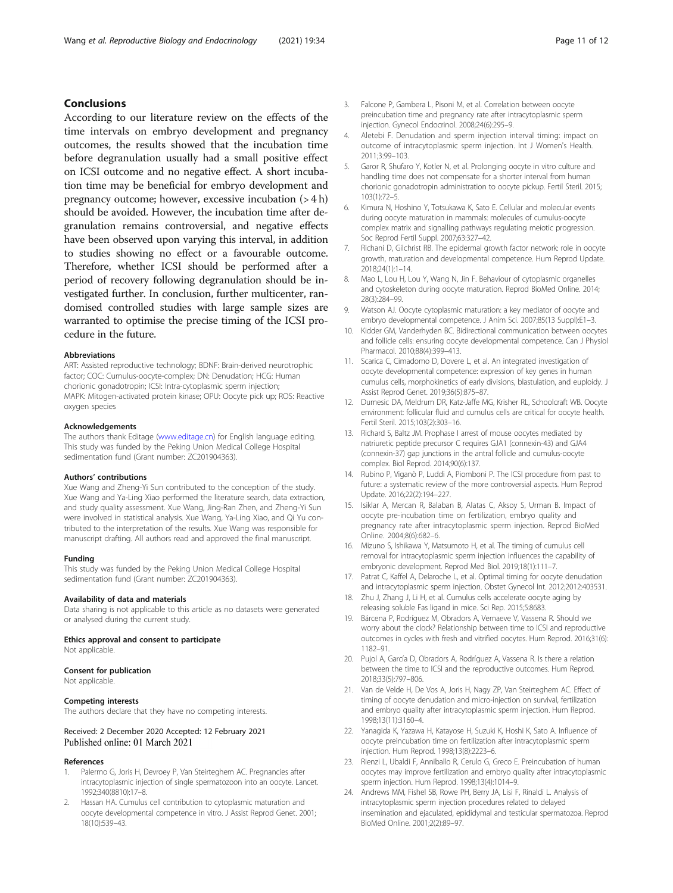#### <span id="page-10-0"></span>Conclusions

According to our literature review on the effects of the time intervals on embryo development and pregnancy outcomes, the results showed that the incubation time before degranulation usually had a small positive effect on ICSI outcome and no negative effect. A short incubation time may be beneficial for embryo development and pregnancy outcome; however, excessive incubation  $(>4 h)$ should be avoided. However, the incubation time after degranulation remains controversial, and negative effects have been observed upon varying this interval, in addition to studies showing no effect or a favourable outcome. Therefore, whether ICSI should be performed after a period of recovery following degranulation should be investigated further. In conclusion, further multicenter, randomised controlled studies with large sample sizes are warranted to optimise the precise timing of the ICSI procedure in the future.

#### Abbreviations

ART: Assisted reproductive technology; BDNF: Brain-derived neurotrophic factor; COC: Cumulus-oocyte-complex; DN: Denudation; HCG: Human chorionic gonadotropin; ICSI: Intra-cytoplasmic sperm injection; MAPK: Mitogen-activated protein kinase; OPU: Oocyte pick up; ROS: Reactive oxygen species

#### Acknowledgements

The authors thank Editage [\(www.editage.cn\)](http://www.editage.cn) for English language editing. This study was funded by the Peking Union Medical College Hospital sedimentation fund (Grant number: ZC201904363).

#### Authors' contributions

Xue Wang and Zheng-Yi Sun contributed to the conception of the study. Xue Wang and Ya-Ling Xiao performed the literature search, data extraction, and study quality assessment. Xue Wang, Jing-Ran Zhen, and Zheng-Yi Sun were involved in statistical analysis. Xue Wang, Ya-Ling Xiao, and Qi Yu contributed to the interpretation of the results. Xue Wang was responsible for manuscript drafting. All authors read and approved the final manuscript.

#### Funding

This study was funded by the Peking Union Medical College Hospital sedimentation fund (Grant number: ZC201904363).

#### Availability of data and materials

Data sharing is not applicable to this article as no datasets were generated or analysed during the current study.

#### Ethics approval and consent to participate

Not applicable.

#### Consent for publication

Not applicable.

#### Competing interests

The authors declare that they have no competing interests.

#### Received: 2 December 2020 Accepted: 12 February 2021 Published online: 01 March 2021

#### References

- Palermo G, Joris H, Devroey P, Van Steirteghem AC. Pregnancies after intracytoplasmic injection of single spermatozoon into an oocyte. Lancet. 1992;340(8810):17–8.
- 2. Hassan HA. Cumulus cell contribution to cytoplasmic maturation and oocyte developmental competence in vitro. J Assist Reprod Genet. 2001; 18(10):539–43.
- 3. Falcone P, Gambera L, Pisoni M, et al. Correlation between oocyte preincubation time and pregnancy rate after intracytoplasmic sperm injection. Gynecol Endocrinol. 2008;24(6):295–9.
- Aletebi F. Denudation and sperm injection interval timing: impact on outcome of intracytoplasmic sperm injection. Int J Women's Health. 2011;3:99–103.
- 5. Garor R, Shufaro Y, Kotler N, et al. Prolonging oocyte in vitro culture and handling time does not compensate for a shorter interval from human chorionic gonadotropin administration to oocyte pickup. Fertil Steril. 2015; 103(1):72–5.
- 6. Kimura N, Hoshino Y, Totsukawa K, Sato E. Cellular and molecular events during oocyte maturation in mammals: molecules of cumulus-oocyte complex matrix and signalling pathways regulating meiotic progression. Soc Reprod Fertil Suppl. 2007;63:327–42.
- 7. Richani D, Gilchrist RB. The epidermal growth factor network: role in oocyte growth, maturation and developmental competence. Hum Reprod Update. 2018;24(1):1–14.
- 8. Mao L, Lou H, Lou Y, Wang N, Jin F. Behaviour of cytoplasmic organelles and cytoskeleton during oocyte maturation. Reprod BioMed Online. 2014; 28(3):284–99.
- 9. Watson AJ. Oocyte cytoplasmic maturation: a key mediator of oocyte and embryo developmental competence. J Anim Sci. 2007;85(13 Suppl):E1–3.
- 10. Kidder GM, Vanderhyden BC. Bidirectional communication between oocytes and follicle cells: ensuring oocyte developmental competence. Can J Physiol Pharmacol. 2010;88(4):399–413.
- 11. Scarica C, Cimadomo D, Dovere L, et al. An integrated investigation of oocyte developmental competence: expression of key genes in human cumulus cells, morphokinetics of early divisions, blastulation, and euploidy. J Assist Reprod Genet. 2019;36(5):875–87.
- 12. Dumesic DA, Meldrum DR, Katz-Jaffe MG, Krisher RL, Schoolcraft WB. Oocyte environment: follicular fluid and cumulus cells are critical for oocyte health. Fertil Steril. 2015;103(2):303–16.
- 13. Richard S, Baltz JM. Prophase I arrest of mouse oocytes mediated by natriuretic peptide precursor C requires GJA1 (connexin-43) and GJA4 (connexin-37) gap junctions in the antral follicle and cumulus-oocyte complex. Biol Reprod. 2014;90(6):137.
- 14. Rubino P, Viganò P, Luddi A, Piomboni P. The ICSI procedure from past to future: a systematic review of the more controversial aspects. Hum Reprod Update. 2016;22(2):194–227.
- 15. Isiklar A, Mercan R, Balaban B, Alatas C, Aksoy S, Urman B. Impact of oocyte pre-incubation time on fertilization, embryo quality and pregnancy rate after intracytoplasmic sperm injection. Reprod BioMed Online. 2004;8(6):682–6.
- 16. Mizuno S, Ishikawa Y, Matsumoto H, et al. The timing of cumulus cell removal for intracytoplasmic sperm injection influences the capability of embryonic development. Reprod Med Biol. 2019;18(1):111–7.
- 17. Patrat C, Kaffel A, Delaroche L, et al. Optimal timing for oocyte denudation and intracytoplasmic sperm injection. Obstet Gynecol Int. 2012;2012:403531.
- 18. Zhu J, Zhang J, Li H, et al. Cumulus cells accelerate oocyte aging by releasing soluble Fas ligand in mice. Sci Rep. 2015;5:8683.
- 19. Bárcena P, Rodríguez M, Obradors A, Vernaeve V, Vassena R. Should we worry about the clock? Relationship between time to ICSI and reproductive outcomes in cycles with fresh and vitrified oocytes. Hum Reprod. 2016;31(6): 1182–91.
- 20. Pujol A, García D, Obradors A, Rodríguez A, Vassena R. Is there a relation between the time to ICSI and the reproductive outcomes. Hum Reprod. 2018;33(5):797–806.
- 21. Van de Velde H, De Vos A, Joris H, Nagy ZP, Van Steirteghem AC. Effect of timing of oocyte denudation and micro-injection on survival, fertilization and embryo quality after intracytoplasmic sperm injection. Hum Reprod. 1998;13(11):3160–4.
- 22. Yanagida K, Yazawa H, Katayose H, Suzuki K, Hoshi K, Sato A. Influence of oocyte preincubation time on fertilization after intracytoplasmic sperm injection. Hum Reprod. 1998;13(8):2223–6.
- 23. Rienzi L, Ubaldi F, Anniballo R, Cerulo G, Greco E. Preincubation of human oocytes may improve fertilization and embryo quality after intracytoplasmic sperm injection. Hum Reprod. 1998;13(4):1014–9.
- 24. Andrews MM, Fishel SB, Rowe PH, Berry JA, Lisi F, Rinaldi L. Analysis of intracytoplasmic sperm injection procedures related to delayed insemination and ejaculated, epididymal and testicular spermatozoa. Reprod BioMed Online. 2001;2(2):89–97.